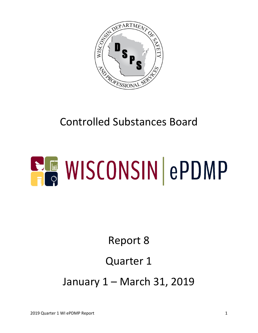

# Controlled Substances Board

# **ELE WISCONSIN ePDMP**

Report 8

### Quarter 1

January 1 – March 31, 2019

2019 Quarter 1 WI ePDMP Report 1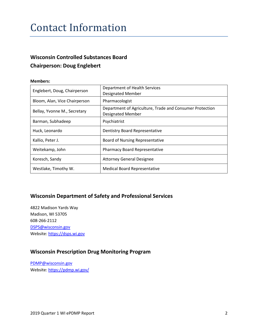#### Contact Information

#### **Wisconsin Controlled Substances Board Chairperson: Doug Englebert**

#### **Members:**

| Englebert, Doug, Chairperson  | Department of Health Services<br><b>Designated Member</b>                            |  |
|-------------------------------|--------------------------------------------------------------------------------------|--|
| Bloom, Alan, Vice Chairperson | Pharmacologist                                                                       |  |
| Bellay, Yvonne M., Secretary  | Department of Agriculture, Trade and Consumer Protection<br><b>Designated Member</b> |  |
| Barman, Subhadeep             | Psychiatrist                                                                         |  |
| Huck, Leonardo                | Dentistry Board Representative                                                       |  |
| Kallio, Peter J.              | <b>Board of Nursing Representative</b>                                               |  |
| Weitekamp, John               | <b>Pharmacy Board Representative</b>                                                 |  |
| Koresch, Sandy                | <b>Attorney General Designee</b>                                                     |  |
| Westlake, Timothy W.          | <b>Medical Board Representative</b>                                                  |  |

#### **Wisconsin Department of Safety and Professional Services**

4822 Madison Yards Way Madison, WI 53705 608-266-2112 [DSPS@wisconsin.gov](mailto:DSPS@wisconsin.gov) Website[: https://dsps.wi.gov](https://dsps.wi.gov/)

#### **Wisconsin Prescription Drug Monitoring Program**

[PDMP@wisconsin.gov](mailto:PDMP@wisconsin.gov) Website[: https://pdmp.wi.gov/](https://pdmp.wi.gov/)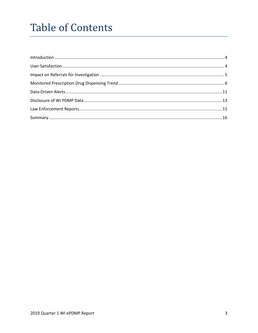## **Table of Contents**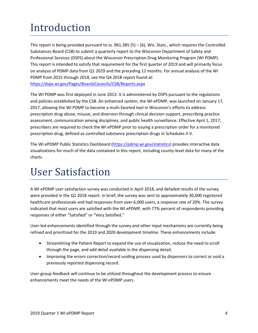# <span id="page-3-0"></span>Introduction

This report is being provided pursuant to ss.  $961.385(5) - (6)$ , Wis. Stats., which requires the Controlled Substances Board (CSB) to submit a quarterly report to the Wisconsin Department of Safety and Professional Services (DSPS) about the Wisconsin Prescription Drug Monitoring Program (WI PDMP). This report is intended to satisfy that requirement for the first quarter of 2019 and will primarily focus on analysis of PDMP data from Q1 2019 and the preceding 12 months. For annual analysis of the WI PDMP from 2015 through 2018, see the Q4 2018 report found at: <https://dsps.wi.gov/Pages/BoardsCouncils/CSB/Reports.aspx>

The WI PDMP was first deployed in June 2013. It is administered by DSPS pursuant to the regulations and policies established by the CSB. An enhanced system, the WI ePDMP, was launched on January 17, 2017, allowing the WI PDMP to become a multi-faceted tool in Wisconsin's efforts to address prescription drug abuse, misuse, and diversion through clinical decision support, prescribing practice assessment, communication among disciplines, and public health surveillance. Effective April 1, 2017, prescribers are required to check the WI ePDMP prior to issuing a prescription order for a monitored prescription drug, defined as controlled substance prescription drugs in Schedules II-V.

The WI ePDMP Public Statistics Dashboard [\(https://pdmp.wi.gov/statistics\)](https://pdmp.wi.gov/statistics) provides interactive data visualizations for much of the data contained in this report, including county-level data for many of the charts.

#### <span id="page-3-1"></span>User Satisfaction

A WI ePDMP user satisfaction survey was conducted in April 2018, and detailed results of the survey were provided in the Q2 2018 report. In brief, the survey was sent to approximately 30,000 registered healthcare professionals and had responses from over 6,000 users, a response rate of 20%. The survey indicated that most users are satisfied with the WI ePDMP, with 77% percent of respondents providing responses of either "Satisfied" or "Very Satisfied."

User-led enhancements identified through the survey and other input mechanisms are currently being refined and prioritized for the 2019 and 2020 development timeline. These enhancements include:

- Streamlining the Patient Report to expand the use of visualization, reduce the need to scroll through the page, and add detail available in the dispensing detail;
- Improving the errorv correction/record voiding process used by dispensers to correct or void a previously reported dispensing record.

User-group feedback will continue to be utilized throughout the development process to ensure enhancements meet the needs of the WI ePDMP users.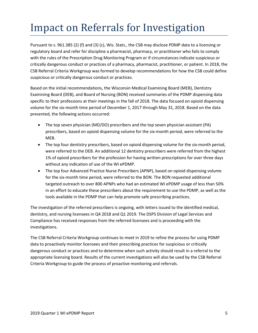## <span id="page-4-0"></span>Impact on Referrals for Investigation

Pursuant to s. 961.385 (2) (f) and (3) (c), Wis. Stats., the CSB may disclose PDMP data to a licensing or regulatory board and refer for discipline a pharmacist, pharmacy, or practitioner who fails to comply with the rules of the Prescription Drug Monitoring Program or if circumstances indicate suspicious or critically dangerous conduct or practices of a pharmacy, pharmacist, practitioner, or patient. In 2018, the CSB Referral Criteria Workgroup was formed to develop recommendations for how the CSB could define suspicious or critically dangerous conduct or practices.

Based on the initial recommendations, the Wisconsin Medical Examining Board (MEB), Dentistry Examining Board (DEB), and Board of Nursing (BON) received summaries of the PDMP dispensing data specific to their professions at their meetings in the fall of 2018. The data focused on opioid dispensing volume for the six-month time period of December 1, 2017 through May 31, 2018. Based on the data presented, the following actions occurred:

- The top seven physician (MD/DO) prescribers and the top seven physician assistant (PA) prescribers, based on opioid dispensing volume for the six-month period, were referred to the MEB.
- The top four dentistry prescribers, based on opioid dispensing volume for the six-month period, were referred to the DEB. An additional 12 dentistry prescribers were referred from the highest 1% of opioid prescribers for the profession for having written prescriptions for over three days without any indication of use of the WI ePDMP.
- The top four Advanced Practice Nurse Prescribers (APNP), based on opioid dispensing volume for the six-month time period, were referred to the BON. The BON requested additional targeted outreach to over 800 APNPs who had an estimated WI ePDMP usage of less than 50% in an effort to educate these prescribers about the requirement to use the PDMP, as well as the tools available in the PDMP that can help promote safe prescribing practices.

The investigation of the referred prescribers is ongoing, with letters issued to the identified medical, dentistry, and nursing licensees in Q4 2018 and Q1 2019. The DSPS Division of Legal Services and Compliance has received responses from the referred licensees and is proceeding with the investigations.

The CSB Referral Criteria Workgroup continues to meet in 2019 to refine the process for using PDMP data to proactively monitor licensees and their prescribing practices for suspicious or critically dangerous conduct or practices and to determine when such activity should result in a referral to the appropriate licensing board. Results of the current investigations will also be used by the CSB Referral Criteria Workgroup to guide the process of proactive monitoring and referrals.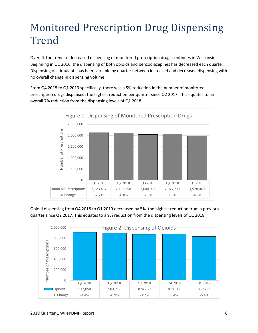# <span id="page-5-0"></span>Monitored Prescription Drug Dispensing Trend

Overall, the trend of decreased dispensing of monitored prescription drugs continues in Wisconsin. Beginning in Q1 2016, the dispensing of both opioids and benzodiazepines has decreased each quarter. Dispensing of stimulants has been variable by quarter between increased and decreased dispensing with no overall change in dispensing volume.

From Q4 2018 to Q1 2019 specifically, there was a 5% reduction in the number of monitored prescription drugs dispensed, the highest reduction per quarter since Q2 2017. This equates to an overall 7% reduction from the dispensing levels of Q1 2018.



Opioid dispensing from Q4 2018 to Q1 2019 decreased by 5%, the highest reduction from a previous quarter since Q2 2017. This equates to a 9% reduction from the dispensing levels of Q1 2018.

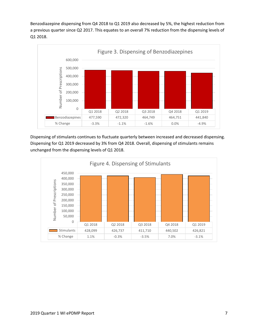Benzodiazepine dispensing from Q4 2018 to Q1 2019 also decreased by 5%, the highest reduction from a previous quarter since Q2 2017. This equates to an overall 7% reduction from the dispensing levels of Q1 2018.



Dispensing of stimulants continues to fluctuate quarterly between increased and decreased dispensing. Dispensing for Q1 2019 decreased by 3% from Q4 2018. Overall, dispensing of stimulants remains unchanged from the dispensing levels of Q1 2018.

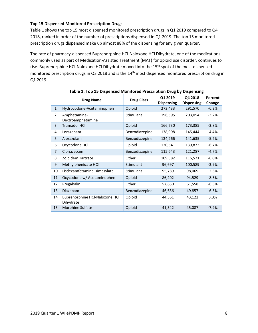#### **Top 15 Dispensed Monitored Prescription Drugs**

Table 1 shows the top 15 most dispensed monitored prescription drugs in Q1 2019 compared to Q4 2018, ranked in order of the number of prescriptions dispensed in Q1 2019. The top 15 monitored prescription drugs dispensed make up almost 88% of the dispensing for any given quarter.

The rate of pharmacy-dispensed Buprenorphine HCl-Naloxone HCl Dihydrate, one of the medications commonly used as part of Medication-Assisted Treatment (MAT) for opioid use disorder, continues to rise. Buprenorphine HCl-Naloxone HCl Dihydrate moved into the 15<sup>th</sup> spot of the most dispensed monitored prescription drugs in Q3 2018 and is the 14<sup>th</sup> most dispensed monitored prescription drug in Q1 2019.

| Table 1. Top 15 Dispensed Monitored Prescription Drug by Dispensing |                                             |                   |                              |                              |                   |
|---------------------------------------------------------------------|---------------------------------------------|-------------------|------------------------------|------------------------------|-------------------|
|                                                                     | <b>Drug Name</b>                            | <b>Drug Class</b> | Q1 2019<br><b>Dispensing</b> | Q4 2018<br><b>Dispensing</b> | Percent<br>Change |
| $\mathbf{1}$                                                        | Hydrocodone-Acetaminophen                   | Opioid            | 273,433                      | 291,570                      | $-6.2%$           |
| $\overline{2}$                                                      | Amphetamine-<br>Dextroamphetamine           | Stimulant         | 196,595                      |                              | $-3.2%$           |
| 3                                                                   | <b>Tramadol HCI</b>                         | Opioid            | 166,730                      | 173,385                      | $-3.8%$           |
| 4                                                                   | Lorazepam                                   | Benzodiazepine    | 138,998                      |                              | $-4.4%$           |
| 5                                                                   | Alprazolam                                  | Benzodiazepine    | 134,266                      | 141,635                      | $-5.2%$           |
| 6                                                                   | Oxycodone HCl                               | Opioid            | 130,541                      | 139,873                      | $-6.7%$           |
| $\overline{7}$                                                      | Clonazepam                                  | Benzodiazepine    | 115,643                      | 121,287                      | $-4.7%$           |
| 8                                                                   | Zolpidem Tartrate                           | Other             | 109,582                      | 116,571                      | $-6.0%$           |
| 9                                                                   | Methylphenidate HCl                         | Stimulant         | 96,697                       | 100,589                      | $-3.9%$           |
| 10                                                                  | Lisdexamfetamine Dimesylate                 | Stimulant         | 95,789                       | 98,069                       | $-2.3%$           |
| 11                                                                  | Oxycodone w/ Acetaminophen                  | Opioid            | 86,402                       | 94,529                       | $-8.6%$           |
| 12                                                                  | Pregabalin                                  | Other             | 57,650                       | 61,558                       | $-6.3%$           |
| 13                                                                  | Diazepam                                    | Benzodiazepine    | 46,636                       | 49,857                       | $-6.5%$           |
| 14                                                                  | Buprenorphine HCl-Naloxone HCl<br>Dihydrate | Opioid            | 44,561                       | 43,122                       | 3.3%              |
| 15                                                                  | Morphine Sulfate                            | Opioid            | 41,542                       | 45,087                       | $-7.9%$           |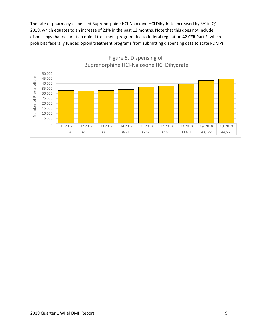The rate of pharmacy-dispensed Buprenorphine HCl-Naloxone HCl Dihydrate increased by 3% in Q1 2019, which equates to an increase of 21% in the past 12 months. Note that this does not include dispensings that occur at an opioid treatment program due to federal regulation 42 CFR Part 2, which prohibits federally funded opioid treatment programs from submitting dispensing data to state PDMPs.

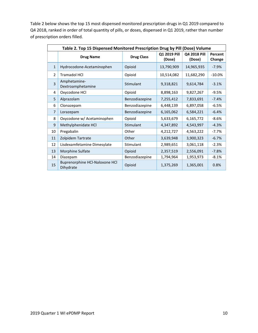Table 2 below shows the top 15 most dispensed monitored prescription drugs in Q1 2019 compared to Q4 2018, ranked in order of total quantity of pills, or doses, dispensed in Q1 2019, rather than number of prescription orders filled.

| Table 2. Top 15 Dispensed Monitored Prescription Drug by Pill (Dose) Volume |                                             |                   |                        |                        |                   |
|-----------------------------------------------------------------------------|---------------------------------------------|-------------------|------------------------|------------------------|-------------------|
|                                                                             | <b>Drug Name</b>                            | <b>Drug Class</b> | Q1 2019 Pill<br>(Dose) | Q4 2018 Pill<br>(Dose) | Percent<br>Change |
| $\mathbf{1}$                                                                | Hydrocodone-Acetaminophen                   | Opioid            | 13,790,909             | 14,965,935             | $-7.9%$           |
| $\overline{2}$                                                              | <b>Tramadol HCI</b>                         | Opioid            | 10,514,082             | 11,682,290             | $-10.0\%$         |
| $\overline{3}$                                                              | Amphetamine-<br>Dextroamphetamine           | Stimulant         | 9,318,821<br>9,614,784 |                        | $-3.1%$           |
| 4                                                                           | Oxycodone HCl                               | Opioid            | 8,898,163              | 9,827,267              | $-9.5%$           |
| 5                                                                           | Alprazolam                                  | Benzodiazepine    | 7,255,412              | 7,833,691              | $-7.4%$           |
| 6                                                                           | Clonazepam                                  | Benzodiazepine    | 6,448,139              | 6,897,058              | $-6.5%$           |
| $\overline{7}$                                                              | Lorazepam                                   | Benzodiazepine    | 6,165,062              | 6,584,221              | $-6.4%$           |
| 8                                                                           | Oxycodone w/ Acetaminophen                  | Opioid            | 5,633,679<br>6,165,772 |                        | $-8.6%$           |
| 9                                                                           | Methylphenidate HCl                         | Stimulant         | 4,543,997<br>4,347,892 |                        | $-4.3%$           |
| 10                                                                          | Pregabalin                                  | Other             | 4,212,727<br>4,563,222 |                        | $-7.7%$           |
| 11                                                                          | Zolpidem Tartrate                           | Other             | 3,639,948<br>3,900,323 |                        | $-6.7%$           |
| 12                                                                          | Lisdexamfetamine Dimesylate                 | Stimulant         | 2,989,651              | 3,061,118              | $-2.3%$           |
| 13                                                                          | Morphine Sulfate                            | Opioid            | 2,357,519              | 2,556,091              | $-7.8%$           |
| 14                                                                          | Diazepam                                    | Benzodiazepine    | 1,794,964              | 1,953,973              | $-8.1%$           |
| 15                                                                          | Buprenorphine HCl-Naloxone HCl<br>Dihydrate | Opioid            | 1,375,269              | 1,365,001              | 0.8%              |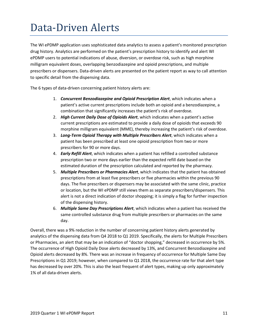## <span id="page-10-0"></span>Data-Driven Alerts

The WI ePDMP application uses sophisticated data analytics to assess a patient's monitored prescription drug history. Analytics are performed on the patient's prescription history to identify and alert WI ePDMP users to potential indications of abuse, diversion, or overdose risk, such as high morphine milligram equivalent doses, overlapping benzodiazepine and opioid prescriptions, and multiple prescribers or dispensers. Data-driven alerts are presented on the patient report as way to call attention to specific detail from the dispensing data.

The 6 types of data-driven concerning patient history alerts are:

- 1. *Concurrent Benzodiazepine and Opioid Prescription Alert*, which indicates when a patient's active current prescriptions include both an opioid and a benzodiazepine, a combination that significantly increases the patient's risk of overdose.
- 2. *High Current Daily Dose of Opioids Alert*, which indicates when a patient's active current prescriptions are estimated to provide a daily dose of opioids that exceeds 90 morphine milligram equivalent (MME), thereby increasing the patient's risk of overdose.
- 3. *Long-Term Opioid Therapy with Multiple Prescribers Alert*, which indicates when a patient has been prescribed at least one opioid prescription from two or more prescribers for 90 or more days.
- 4. *Early Refill Alert*, which indicates when a patient has refilled a controlled substance prescription two or more days earlier than the expected refill date based on the estimated duration of the prescription calculated and reported by the pharmacy.
- 5. *Multiple Prescribers or Pharmacies Alert*, which indicates that the patient has obtained prescriptions from at least five prescribers or five pharmacies within the previous 90 days. The five prescribers or dispensers may be associated with the same clinic, practice or location, but the WI ePDMP still views them as separate prescribers/dispensers. This alert is not a direct indication of doctor shopping; it is simply a flag for further inspection of the dispensing history.
- 6. *Multiple Same Day Prescriptions Alert*, which indicates when a patient has received the same controlled substance drug from multiple prescribers or pharmacies on the same day.

Overall, there was a 9% reduction in the number of concerning patient history alerts generated by analytics of the dispensing data from Q4 2018 to Q1 2019. Specifically, the alerts for Multiple Prescribers or Pharmacies, an alert that may be an indication of "doctor shopping," decreased in occurrence by 5%. The occurrence of High Opioid Daily Dose alerts decreased by 13%, and Concurrent Benzodiazepine and Opioid alerts decreased by 8%. There was an increase in frequency of occurrence for Multiple Same Day Prescriptions in Q1 2019; however, when compared to Q1 2018, the occurrence rate for that alert type has decreased by over 20%. This is also the least frequent of alert types, making up only approximately 1% of all data-driven alerts.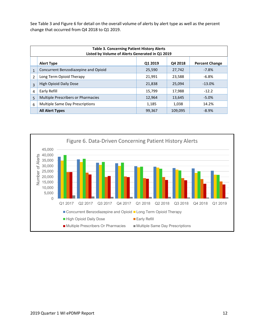See Table 3 and Figure 6 for detail on the overall volume of alerts by alert type as well as the percent change that occurred from Q4 2018 to Q1 2019.

| <b>Table 3. Concerning Patient History Alerts</b><br>Listed by Volume of Alerts Generated in Q1 2019 |                                                                  |        |         |          |  |  |  |
|------------------------------------------------------------------------------------------------------|------------------------------------------------------------------|--------|---------|----------|--|--|--|
|                                                                                                      | Q1 2019<br>Q4 2018<br><b>Percent Change</b><br><b>Alert Type</b> |        |         |          |  |  |  |
| $\mathbf{1}$                                                                                         | Concurrent Benzodiazepine and Opioid                             | 25,590 | 27,742  | $-7.8%$  |  |  |  |
| $\overline{\phantom{a}}$                                                                             | Long Term Opioid Therapy                                         | 21,991 | 23,588  | $-6.8%$  |  |  |  |
| $\overline{3}$                                                                                       | High Opioid Daily Dose                                           | 21,838 | 25,094  | $-13.0%$ |  |  |  |
| $\overline{a}$                                                                                       | Early Refill                                                     | 15,799 | 17,988  | $-12.2$  |  |  |  |
| 5                                                                                                    | <b>Multiple Prescribers or Pharmacies</b>                        | 12,964 | 13,645  | $-5.0%$  |  |  |  |
| 6                                                                                                    | Multiple Same Day Prescriptions                                  | 1,185  | 1,038   | 14.2%    |  |  |  |
|                                                                                                      | <b>All Alert Types</b>                                           | 99,367 | 109,095 | $-8.9%$  |  |  |  |

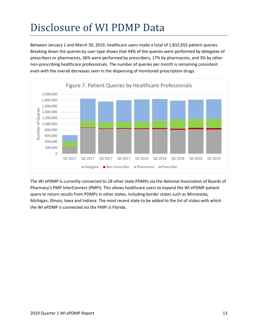# <span id="page-12-0"></span>Disclosure of WI PDMP Data

Between January 1 and March 30, 2019, healthcare users made a total of 1,832,655 patient queries. Breaking down the queries by user type shows that 44% of the queries were performed by delegates of prescribers or pharmacists, 36% were performed by prescribers, 17% by pharmacists, and 3% by other non-prescribing healthcare professionals. The number of queries per month is remaining consistent even with the overall decreases seen in the dispensing of monitored prescription drugs.



The WI ePDMP is currently connected to 18 other state PDMPs via the National Association of Boards of Pharmacy's PMP InterConnect (PMPi). This allows healthcare users to expand the WI ePDMP patient query to return results from PDMPs in other states, including border states such as Minnesota, Michigan, Illinois, Iowa and Indiana. The most recent state to be added to the list of states with which the WI ePDMP is connected via the PMPi is Florida.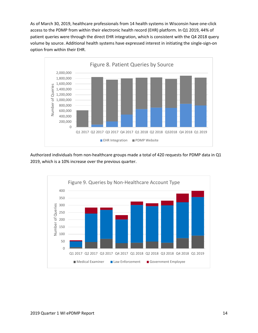As of March 30, 2019, healthcare professionals from 14 health systems in Wisconsin have one-click access to the PDMP from within their electronic health record (EHR) platform. In Q1 2019, 44% of patient queries were through the direct EHR integration, which is consistent with the Q4 2018 query volume by source. Additional health systems have expressed interest in initiating the single-sign-on option from within their EHR.



Authorized individuals from non-healthcare groups made a total of 420 requests for PDMP data in Q1 2019, which is a 10% increase over the previous quarter.

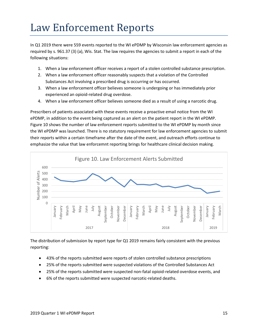## <span id="page-14-0"></span>Law Enforcement Reports

In Q1 2019 there were 559 events reported to the WI ePDMP by Wisconsin law enforcement agencies as required by s. [961.37 \(3\) \(a\),](https://docs.legis.wisconsin.gov/document/statutes/961.37(3)(a)) Wis. Stat. The law requires the agencies to submit a report in each of the following situations:

- 1. When a law enforcement officer receives a report of a stolen controlled substance prescription.
- 2. When a law enforcement officer reasonably suspects that a violation of the Controlled Substances Act involving a prescribed drug is occurring or has occurred.
- 3. When a law enforcement officer believes someone is undergoing or has immediately prior experienced an opioid-related drug overdose.
- 4. When a law enforcement officer believes someone died as a result of using a narcotic drug.

Prescribers of patients associated with these events receive a proactive email notice from the WI ePDMP, in addition to the event being captured as an alert on the patient report in the WI ePDMP. Figure 10 shows the number of law enforcement reports submitted to the WI ePDMP by month since the WI ePDMP was launched. There is no statutory requirement for law enforcement agencies to submit their reports within a certain timeframe after the date of the event, and outreach efforts continue to emphasize the value that law enforcemnt reporting brings for healthcare clinical decision making.



The distribution of submission by report type for Q1 2019 remains fairly consistent with the previous reporting:

- 43% of the reports submitted were reports of stolen controlled substance prescriptions
- 25% of the reports submitted were suspected violations of the Controlled Substances Act
- 25% of the reports submitted were suspected non-fatal opioid-related overdose events, and
- 6% of the reports submitted were suspected narcotic-related deaths.